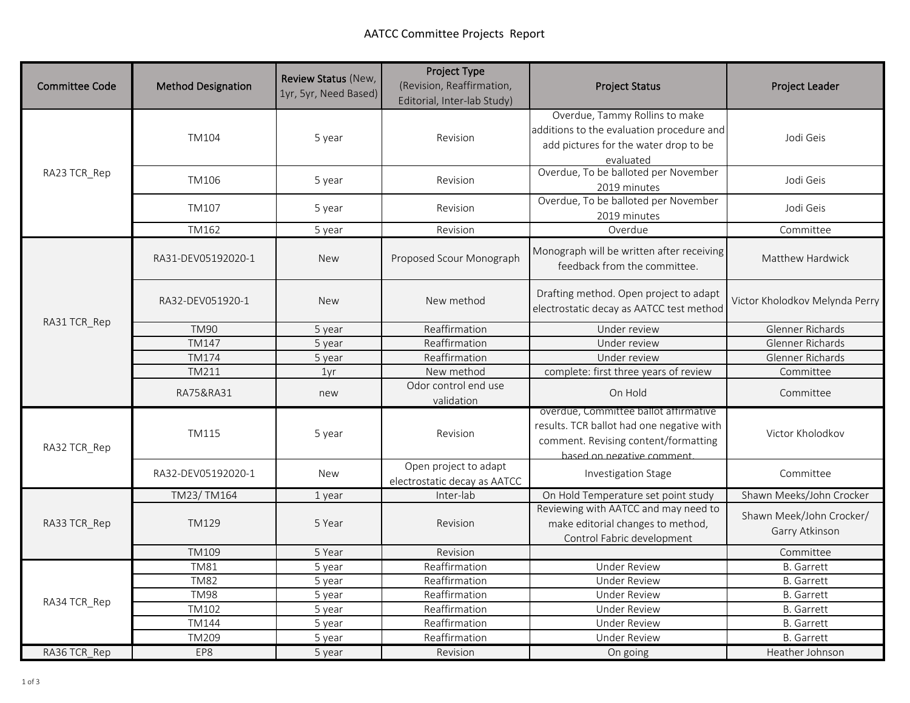| <b>Committee Code</b> | <b>Method Designation</b> | Review Status (New,<br>1yr, 5yr, Need Based) | <b>Project Type</b><br>(Revision, Reaffirmation,<br>Editorial, Inter-lab Study) | <b>Project Status</b>                                                                                                                                   | Project Leader                             |
|-----------------------|---------------------------|----------------------------------------------|---------------------------------------------------------------------------------|---------------------------------------------------------------------------------------------------------------------------------------------------------|--------------------------------------------|
| RA23 TCR Rep          | <b>TM104</b>              | 5 year                                       | Revision                                                                        | Overdue, Tammy Rollins to make<br>additions to the evaluation procedure and<br>add pictures for the water drop to be<br>evaluated                       | Jodi Geis                                  |
|                       | TM106                     | 5 year                                       | Revision                                                                        | Overdue, To be balloted per November<br>2019 minutes                                                                                                    | Jodi Geis                                  |
|                       | TM107                     | 5 year                                       | Revision                                                                        | Overdue, To be balloted per November<br>2019 minutes                                                                                                    | Jodi Geis                                  |
|                       | TM162                     | 5 year                                       | Revision                                                                        | Overdue                                                                                                                                                 | Committee                                  |
| RA31 TCR_Rep          | RA31-DEV05192020-1        | <b>New</b>                                   | Proposed Scour Monograph                                                        | Monograph will be written after receiving<br>feedback from the committee.                                                                               | Matthew Hardwick                           |
|                       | RA32-DEV051920-1          | <b>New</b>                                   | New method                                                                      | Drafting method. Open project to adapt<br>electrostatic decay as AATCC test method                                                                      | Victor Kholodkov Melynda Perry             |
|                       | <b>TM90</b>               | 5 year                                       | Reaffirmation                                                                   | Under review                                                                                                                                            | Glenner Richards                           |
|                       | <b>TM147</b>              | 5 year                                       | Reaffirmation                                                                   | Under review                                                                                                                                            | Glenner Richards                           |
|                       | <b>TM174</b>              | 5 year                                       | Reaffirmation                                                                   | Under review                                                                                                                                            | Glenner Richards                           |
|                       | TM211                     | 1yr                                          | New method                                                                      | complete: first three years of review                                                                                                                   | Committee                                  |
|                       | RA75&RA31                 | new                                          | Odor control end use<br>validation                                              | On Hold                                                                                                                                                 | Committee                                  |
| RA32 TCR Rep          | TM115                     | 5 year                                       | Revision                                                                        | overdue, Committee ballot affirmative<br>results. TCR ballot had one negative with<br>comment. Revising content/formatting<br>hased on negative comment | Victor Kholodkov                           |
|                       | RA32-DEV05192020-1        | <b>New</b>                                   | Open project to adapt<br>electrostatic decay as AATCC                           | Investigation Stage                                                                                                                                     | Committee                                  |
| RA33 TCR Rep          | TM23/TM164                | 1 year                                       | Inter-lab                                                                       | On Hold Temperature set point study                                                                                                                     | Shawn Meeks/John Crocker                   |
|                       | <b>TM129</b>              | 5 Year                                       | Revision                                                                        | Reviewing with AATCC and may need to<br>make editorial changes to method,<br>Control Fabric development                                                 | Shawn Meek/John Crocker/<br>Garry Atkinson |
|                       | <b>TM109</b>              | 5 Year                                       | Revision                                                                        |                                                                                                                                                         | Committee                                  |
|                       | <b>TM81</b>               | 5 year                                       | Reaffirmation                                                                   | <b>Under Review</b>                                                                                                                                     | <b>B.</b> Garrett                          |
| RA34 TCR_Rep          | <b>TM82</b>               | 5 year                                       | Reaffirmation                                                                   | <b>Under Review</b>                                                                                                                                     | <b>B.</b> Garrett                          |
|                       | <b>TM98</b>               | 5 year                                       | Reaffirmation                                                                   | <b>Under Review</b>                                                                                                                                     | <b>B.</b> Garrett                          |
|                       | TM102                     | 5 year                                       | Reaffirmation                                                                   | <b>Under Review</b>                                                                                                                                     | <b>B.</b> Garrett                          |
|                       | <b>TM144</b>              | 5 year                                       | Reaffirmation                                                                   | Under Review                                                                                                                                            | <b>B.</b> Garrett                          |
|                       | <b>TM209</b>              | 5 year                                       | Reaffirmation                                                                   | <b>Under Review</b>                                                                                                                                     | <b>B.</b> Garrett                          |
| RA36 TCR Rep          | EP8                       | 5 year                                       | Revision                                                                        | On going                                                                                                                                                | Heather Johnson                            |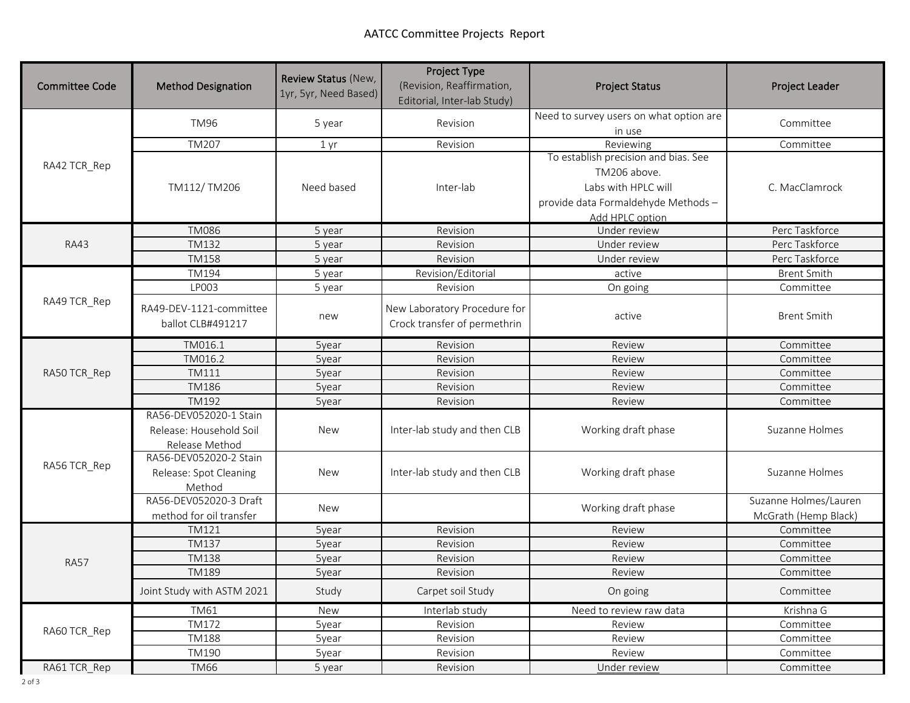| <b>Committee Code</b> | <b>Method Designation</b>                    | Review Status (New,<br>1yr, 5yr, Need Based) | Project Type<br>(Revision, Reaffirmation,<br>Editorial, Inter-lab Study) | <b>Project Status</b>                             | <b>Project Leader</b> |
|-----------------------|----------------------------------------------|----------------------------------------------|--------------------------------------------------------------------------|---------------------------------------------------|-----------------------|
|                       | <b>TM96</b>                                  | 5 year                                       | Revision                                                                 | Need to survey users on what option are<br>in use | Committee             |
|                       | <b>TM207</b>                                 | 1 yr                                         | Revision                                                                 | Reviewing                                         | Committee             |
| RA42 TCR_Rep          |                                              |                                              | Inter-lab                                                                | To establish precision and bias. See              | C. MacClamrock        |
|                       | TM112/TM206                                  | Need based                                   |                                                                          | TM206 above.                                      |                       |
|                       |                                              |                                              |                                                                          | Labs with HPLC will                               |                       |
|                       |                                              |                                              |                                                                          | provide data Formaldehyde Methods-                |                       |
|                       |                                              |                                              |                                                                          | Add HPLC option                                   |                       |
|                       | <b>TM086</b>                                 | 5 year                                       | Revision                                                                 | Under review                                      | Perc Taskforce        |
| <b>RA43</b>           | TM132                                        | 5 year                                       | Revision                                                                 | Under review                                      | Perc Taskforce        |
|                       | <b>TM158</b>                                 | 5 year                                       | Revision                                                                 | Under review                                      | Perc Taskforce        |
|                       | TM194                                        | 5 year                                       | Revision/Editorial                                                       | active                                            | <b>Brent Smith</b>    |
|                       | LP003                                        | 5 year                                       | Revision                                                                 | On going                                          | Committee             |
| RA49 TCR_Rep          | RA49-DEV-1121-committee<br>ballot CLB#491217 | new                                          | New Laboratory Procedure for<br>Crock transfer of permethrin             | active                                            | <b>Brent Smith</b>    |
|                       | TM016.1                                      | 5year                                        | Revision                                                                 | Review                                            | Committee             |
|                       | TM016.2                                      | 5year                                        | Revision                                                                 | Review                                            | Committee             |
| RA50 TCR_Rep          | TM111                                        | 5year                                        | Revision                                                                 | Review                                            | Committee             |
|                       | <b>TM186</b>                                 | 5year                                        | Revision                                                                 | Review                                            | Committee             |
|                       | TM192                                        | 5year                                        | Revision                                                                 | Review                                            | Committee             |
|                       | RA56-DEV052020-1 Stain                       | <b>New</b>                                   |                                                                          | Working draft phase                               | Suzanne Holmes        |
|                       | Release: Household Soil                      |                                              | Inter-lab study and then CLB                                             |                                                   |                       |
|                       | Release Method                               |                                              |                                                                          |                                                   |                       |
|                       | RA56-DEV052020-2 Stain                       | <b>New</b>                                   | Inter-lab study and then CLB                                             | Working draft phase                               | Suzanne Holmes        |
| RA56 TCR_Rep          | Release: Spot Cleaning                       |                                              |                                                                          |                                                   |                       |
|                       | Method                                       |                                              |                                                                          |                                                   |                       |
|                       | RA56-DEV052020-3 Draft                       |                                              |                                                                          | Working draft phase                               | Suzanne Holmes/Lauren |
|                       | method for oil transfer                      | <b>New</b>                                   |                                                                          |                                                   | McGrath (Hemp Black)  |
| <b>RA57</b>           | TM121                                        | 5year                                        | Revision                                                                 | Review                                            | Committee             |
|                       | <b>TM137</b>                                 | 5year                                        | Revision                                                                 | Review                                            | Committee             |
|                       | <b>TM138</b>                                 | 5year                                        | Revision                                                                 | Review                                            | Committee             |
|                       | TM189                                        | 5year                                        | Revision                                                                 | Review                                            | Committee             |
|                       | Joint Study with ASTM 2021                   | Study                                        | Carpet soil Study                                                        | On going                                          | Committee             |
| RA60 TCR Rep          | <b>TM61</b>                                  | <b>New</b>                                   | Interlab study                                                           | Need to review raw data                           | Krishna G             |
|                       | <b>TM172</b>                                 | 5year                                        | Revision                                                                 | Review                                            | Committee             |
|                       | <b>TM188</b>                                 | 5year                                        | Revision                                                                 | Review                                            | Committee             |
|                       | TM190                                        | 5year                                        | Revision                                                                 | Review                                            | Committee             |
| RA61 TCR_Rep          | <b>TM66</b>                                  | 5 year                                       | Revision                                                                 | Under review                                      | Committee             |